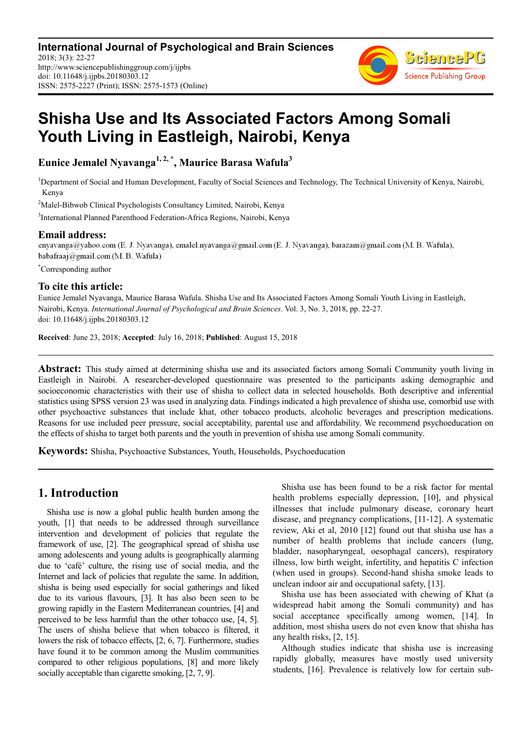

# **Shisha Use and Its Associated Factors Among Somali Youth Living in Eastleigh, Nairobi, Kenya**

**Eunice Jemalel Nyavanga1, 2, \*, Maurice Barasa Wafula<sup>3</sup>**

<sup>1</sup>Department of Social and Human Development, Faculty of Social Sciences and Technology, The Technical University of Kenya, Nairobi, Kenya

<sup>2</sup>Malel-Bibwob Clinical Psychologists Consultancy Limited, Nairobi, Kenya

3 International Planned Parenthood Federation-Africa Regions, Nairobi, Kenya

**Email address:**<br>
enyavanga@yahoo.com (E. J. Nyavanga), emalel.nyavanga@gmail.com (E. J. Nyavanga), barazam@gmail.com (M. B. Wafula), babafraaj@gmail.com (M. B. Wafula)

\*Corresponding author

#### **To cite this article:**

Eunice Jemalel Nyavanga, Maurice Barasa Wafula. Shisha Use and Its Associated Factors Among Somali Youth Living in Eastleigh, Nairobi, Kenya. *International Journal of Psychological and Brain Sciences*. Vol. 3, No. 3, 2018, pp. 22-27. doi: 10.11648/j.ijpbs.20180303.12

**Received**: June 23, 2018; **Accepted**: July 16, 2018; **Published**: August 15, 2018

**Abstract:** This study aimed at determining shisha use and its associated factors among Somali Community youth living in Eastleigh in Nairobi. A researcher-developed questionnaire was presented to the participants asking demographic and socioeconomic characteristics with their use of shisha to collect data in selected households. Both descriptive and inferential statistics using SPSS version 23 was used in analyzing data. Findings indicated a high prevalence of shisha use, comorbid use with other psychoactive substances that include khat, other tobacco products, alcoholic beverages and prescription medications. Reasons for use included peer pressure, social acceptability, parental use and affordability. We recommend psychoeducation on the effects of shisha to target both parents and the youth in prevention of shisha use among Somali community.

**Keywords:** Shisha, Psychoactive Substances, Youth, Households, Psychoeducation

## **1. Introduction**

Shisha use is now a global public health burden among the youth, [1] that needs to be addressed through surveillance intervention and development of policies that regulate the framework of use, [2]. The geographical spread of shisha use among adolescents and young adults is geographically alarming due to 'café' culture, the rising use of social media, and the Internet and lack of policies that regulate the same. In addition, shisha is being used especially for social gatherings and liked due to its various flavours, [3]. It has also been seen to be growing rapidly in the Eastern Mediterranean countries, [4] and perceived to be less harmful than the other tobacco use, [4, 5]. The users of shisha believe that when tobacco is filtered, it lowers the risk of tobacco effects, [2, 6, 7]. Furthermore, studies have found it to be common among the Muslim communities compared to other religious populations, [8] and more likely socially acceptable than cigarette smoking, [2, 7, 9].

Shisha use has been found to be a risk factor for mental health problems especially depression, [10], and physical illnesses that include pulmonary disease, coronary heart disease, and pregnancy complications, [11-12]. A systematic review, Aki et al, 2010 [12] found out that shisha use has a number of health problems that include cancers (lung, bladder, nasopharyngeal, oesophagal cancers), respiratory illness, low birth weight, infertility, and hepatitis C infection (when used in groups). Second-hand shisha smoke leads to unclean indoor air and occupational safety, [13].

Shisha use has been associated with chewing of Khat (a widespread habit among the Somali community) and has social acceptance specifically among women, [14]. In addition, most shisha users do not even know that shisha has any health risks, [2, 15].

Although studies indicate that shisha use is increasing rapidly globally, measures have mostly used university students, [16]. Prevalence is relatively low for certain sub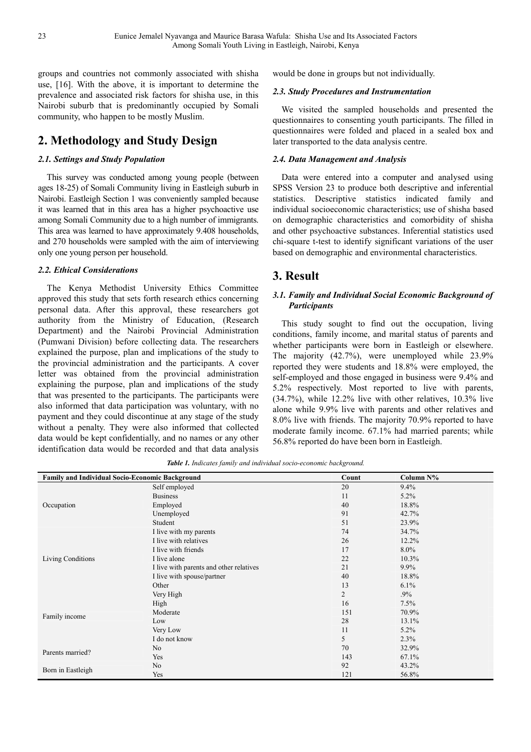groups and countries not commonly associated with shisha use, [16]. With the above, it is important to determine the prevalence and associated risk factors for shisha use, in this Nairobi suburb that is predominantly occupied by Somali community, who happen to be mostly Muslim.

## **2. Methodology and Study Design**

#### *2.1. Settings and Study Population*

This survey was conducted among young people (between ages 18-25) of Somali Community living in Eastleigh suburb in Nairobi. Eastleigh Section 1 was conveniently sampled because it was learned that in this area has a higher psychoactive use among Somali Community due to a high number of immigrants. This area was learned to have approximately 9.408 households, and 270 households were sampled with the aim of interviewing only one young person per household.

#### *2.2. Ethical Considerations*

The Kenya Methodist University Ethics Committee approved this study that sets forth research ethics concerning personal data. After this approval, these researchers got authority from the Ministry of Education, (Research Department) and the Nairobi Provincial Administration (Pumwani Division) before collecting data. The researchers explained the purpose, plan and implications of the study to the provincial administration and the participants. A cover letter was obtained from the provincial administration explaining the purpose, plan and implications of the study that was presented to the participants. The participants were also informed that data participation was voluntary, with no payment and they could discontinue at any stage of the study without a penalty. They were also informed that collected data would be kept confidentially, and no names or any other identification data would be recorded and that data analysis

would be done in groups but not individually.

#### *2.3. Study Procedures and Instrumentation*

We visited the sampled households and presented the questionnaires to consenting youth participants. The filled in questionnaires were folded and placed in a sealed box and later transported to the data analysis centre.

#### *2.4. Data Management and Analysis*

Data were entered into a computer and analysed using SPSS Version 23 to produce both descriptive and inferential statistics. Descriptive statistics indicated family and individual socioeconomic characteristics; use of shisha based on demographic characteristics and comorbidity of shisha and other psychoactive substances. Inferential statistics used chi-square t-test to identify significant variations of the user based on demographic and environmental characteristics.

## **3. Result**

#### *3.1. Family and Individual Social Economic Background of Participants*

This study sought to find out the occupation, living conditions, family income, and marital status of parents and whether participants were born in Eastleigh or elsewhere. The majority (42.7%), were unemployed while 23.9% reported they were students and 18.8% were employed, the self-employed and those engaged in business were 9.4% and 5.2% respectively. Most reported to live with parents, (34.7%), while 12.2% live with other relatives, 10.3% live alone while 9.9% live with parents and other relatives and 8.0% live with friends. The majority 70.9% reported to have moderate family income. 67.1% had married parents; while 56.8% reported do have been born in Eastleigh.

| <b>Family and Individual Socio-Economic Background</b> |                                         | Count | Column N% |
|--------------------------------------------------------|-----------------------------------------|-------|-----------|
| Occupation                                             | Self employed                           | 20    | 9.4%      |
|                                                        | <b>Business</b>                         | 11    | 5.2%      |
|                                                        | Employed                                | 40    | 18.8%     |
|                                                        | Unemployed                              | 91    | 42.7%     |
|                                                        | Student                                 | 51    | 23.9%     |
| Living Conditions                                      | I live with my parents                  | 74    | 34.7%     |
|                                                        | I live with relatives                   | 26    | 12.2%     |
|                                                        | I live with friends                     | 17    | $8.0\%$   |
|                                                        | I live alone                            | 22    | 10.3%     |
|                                                        | I live with parents and other relatives | 21    | 9.9%      |
|                                                        | I live with spouse/partner              | 40    | 18.8%     |
|                                                        | Other                                   | 13    | 6.1%      |
| Family income                                          | Very High                               | 2     | $.9\%$    |
|                                                        | High                                    | 16    | 7.5%      |
|                                                        | Moderate                                | 151   | 70.9%     |
|                                                        | Low                                     | 28    | 13.1%     |
|                                                        | Very Low                                | 11    | 5.2%      |
|                                                        | I do not know                           | 5     | 2.3%      |
| Parents married?                                       | No.                                     | 70    | 32.9%     |
|                                                        | Yes                                     | 143   | 67.1%     |
| Born in Eastleigh                                      | N <sub>o</sub>                          | 92    | 43.2%     |
|                                                        | Yes                                     | 121   | 56.8%     |

*Table 1. Indicates family and individual socio-economic background.*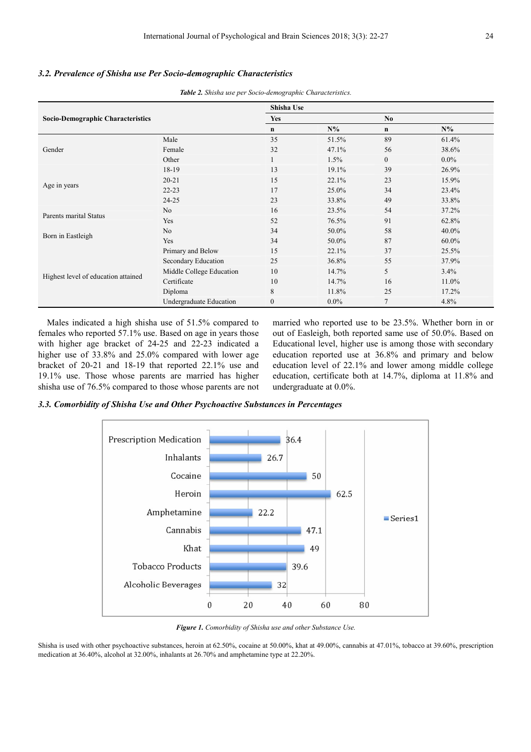#### *3.2. Prevalence of Shisha use Per Socio-demographic Characteristics*

*Table 2. Shisha use per Socio-demographic Characteristics.*

|                                          |                          | Shisha Use   |         |                |         |
|------------------------------------------|--------------------------|--------------|---------|----------------|---------|
| <b>Socio-Demographic Characteristics</b> |                          | <b>Yes</b>   |         | N <sub>0</sub> |         |
|                                          |                          | $\mathbf n$  | $N\%$   | $\mathbf n$    | $N\%$   |
| Gender                                   | Male                     | 35           | 51.5%   | 89             | 61.4%   |
|                                          | Female                   | 32           | 47.1%   | 56             | 38.6%   |
|                                          | Other                    | $\mathbf{I}$ | 1.5%    | $\overline{0}$ | $0.0\%$ |
| Age in years                             | 18-19                    | 13           | 19.1%   | 39             | 26.9%   |
|                                          | $20 - 21$                | 15           | 22.1%   | 23             | 15.9%   |
|                                          | $22 - 23$                | 17           | 25.0%   | 34             | 23.4%   |
|                                          | $24 - 25$                | 23           | 33.8%   | 49             | 33.8%   |
|                                          | N <sub>o</sub>           | 16           | 23.5%   | 54             | 37.2%   |
| Parents marital Status                   | Yes                      | 52           | 76.5%   | 91             | 62.8%   |
| Born in Eastleigh                        | No.                      | 34           | 50.0%   | 58             | 40.0%   |
|                                          | Yes                      | 34           | 50.0%   | 87             | 60.0%   |
| Highest level of education attained      | Primary and Below        | 15           | 22.1%   | 37             | 25.5%   |
|                                          | Secondary Education      | 25           | 36.8%   | 55             | 37.9%   |
|                                          | Middle College Education | 10           | 14.7%   | 5              | $3.4\%$ |
|                                          | Certificate              | 10           | 14.7%   | 16             | 11.0%   |
|                                          | Diploma                  | 8            | 11.8%   | 25             | 17.2%   |
|                                          | Undergraduate Education  | $\mathbf{0}$ | $0.0\%$ | 7              | 4.8%    |

Males indicated a high shisha use of 51.5% compared to females who reported 57.1% use. Based on age in years those with higher age bracket of 24-25 and 22-23 indicated a higher use of 33.8% and 25.0% compared with lower age bracket of 20-21 and 18-19 that reported 22.1% use and 19.1% use. Those whose parents are married has higher shisha use of 76.5% compared to those whose parents are not married who reported use to be 23.5%. Whether born in or out of Easleigh, both reported same use of 50.0%. Based on Educational level, higher use is among those with secondary education reported use at 36.8% and primary and below education level of 22.1% and lower among middle college education, certificate both at 14.7%, diploma at 11.8% and undergraduate at 0.0%.

*3.3. Comorbidity of Shisha Use and Other Psychoactive Substances in Percentages* 



*Figure 1. Comorbidity of Shisha use and other Substance Use.* 

Shisha is used with other psychoactive substances, heroin at 62.50%, cocaine at 50.00%, khat at 49.00%, cannabis at 47.01%, tobacco at 39.60%, prescription medication at 36.40%, alcohol at 32.00%, inhalants at 26.70% and amphetamine type at 22.20%.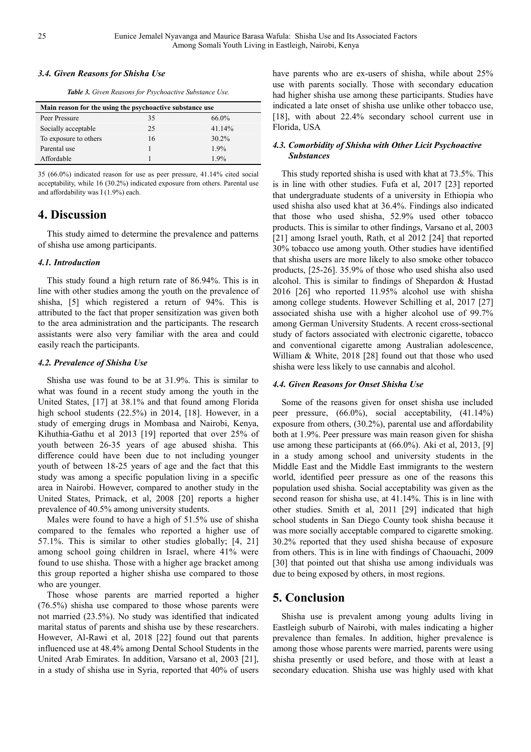#### *3.4. Given Reasons for Shisha Use*

*Table 3. Given Reasons for Psychoactive Substance Use.* 

| Main reason for the using the psychoactive substance use |    |          |  |  |  |
|----------------------------------------------------------|----|----------|--|--|--|
| Peer Pressure                                            | 35 | $66.0\%$ |  |  |  |
| Socially acceptable                                      | 25 | 41.14%   |  |  |  |
| To exposure to others                                    | 16 | $30.2\%$ |  |  |  |
| Parental use                                             |    | 1.9%     |  |  |  |
| Affordable                                               |    | 19%      |  |  |  |

35 (66.0%) indicated reason for use as peer pressure, 41.14% cited social acceptability, while 16 (30.2%) indicated exposure from others. Parental use and affordability was I (1.9%) each.

## **4. Discussion**

This study aimed to determine the prevalence and patterns of shisha use among participants.

#### *4.1. Introduction*

This study found a high return rate of 86.94%. This is in line with other studies among the youth on the prevalence of shisha, [5] which registered a return of 94%. This is attributed to the fact that proper sensitization was given both to the area administration and the participants. The research assistants were also very familiar with the area and could easily reach the participants.

#### *4.2. Prevalence of Shisha Use*

Shisha use was found to be at 31.9%. This is similar to what was found in a recent study among the youth in the United States, [17] at 38.1% and that found among Florida high school students (22.5%) in 2014, [18]. However, in a study of emerging drugs in Mombasa and Nairobi, Kenya, Kihuthia-Gathu et al 2013 [19] reported that over 25% of youth between 26-35 years of age abused shisha. This difference could have been due to not including younger youth of between 18-25 years of age and the fact that this study was among a specific population living in a specific area in Nairobi. However, compared to another study in the United States, Primack, et al, 2008 [20] reports a higher prevalence of 40.5% among university students.

Males were found to have a high of 51.5% use of shisha compared to the females who reported a higher use of 57.1%. This is similar to other studies globally; [4, 21] among school going children in Israel, where 41% were found to use shisha. Those with a higher age bracket among this group reported a higher shisha use compared to those who are younger.

Those whose parents are married reported a higher (76.5%) shisha use compared to those whose parents were not married (23.5%). No study was identified that indicated marital status of parents and shisha use by these researchers. However, Al-Rawi et al, 2018 [22] found out that parents influenced use at 48.4% among Dental School Students in the United Arab Emirates. In addition, Varsano et al, 2003 [21], in a study of shisha use in Syria, reported that 40% of users have parents who are ex-users of shisha, while about 25% use with parents socially. Those with secondary education had higher shisha use among these participants. Studies have indicated a late onset of shisha use unlike other tobacco use, [18], with about 22.4% secondary school current use in Florida, USA

#### *4.3. Comorbidity of Shisha with Other Licit Psychoactive Substances*

This study reported shisha is used with khat at 73.5%. This is in line with other studies. Fufa et al, 2017 [23] reported that undergraduate students of a university in Ethiopia who used shisha also used khat at 36.4%. Findings also indicated that those who used shisha, 52.9% used other tobacco products. This is similar to other findings, Varsano et al, 2003 [21] among Israel youth, Rath, et al 2012 [24] that reported 30% tobacco use among youth. Other studies have identified that shisha users are more likely to also smoke other tobacco products, [25-26]. 35.9% of those who used shisha also used alcohol. This is similar to findings of Shepardon & Hustad 2016 [26] who reported 11.95% alcohol use with shisha among college students. However Schilling et al, 2017 [27] associated shisha use with a higher alcohol use of 99.7% among German University Students. A recent cross-sectional study of factors associated with electronic cigarette, tobacco and conventional cigarette among Australian adolescence, William & White, 2018 [28] found out that those who used shisha were less likely to use cannabis and alcohol.

#### *4.4. Given Reasons for Onset Shisha Use*

Some of the reasons given for onset shisha use included peer pressure, (66.0%), social acceptability, (41.14%) exposure from others, (30.2%), parental use and affordability both at 1.9%. Peer pressure was main reason given for shisha use among these participants at (66.0%). Aki et al, 2013, [9] in a study among school and university students in the Middle East and the Middle East immigrants to the western world, identified peer pressure as one of the reasons this population used shisha. Social acceptability was given as the second reason for shisha use, at 41.14%. This is in line with other studies. Smith et al, 2011 [29] indicated that high school students in San Diego County took shisha because it was more socially acceptable compared to cigarette smoking. 30.2% reported that they used shisha because of exposure from others. This is in line with findings of Chaouachi, 2009 [30] that pointed out that shisha use among individuals was due to being exposed by others, in most regions.

## **5. Conclusion**

Shisha use is prevalent among young adults living in Eastleigh suburb of Nairobi, with males indicating a higher prevalence than females. In addition, higher prevalence is among those whose parents were married, parents were using shisha presently or used before, and those with at least a secondary education. Shisha use was highly used with khat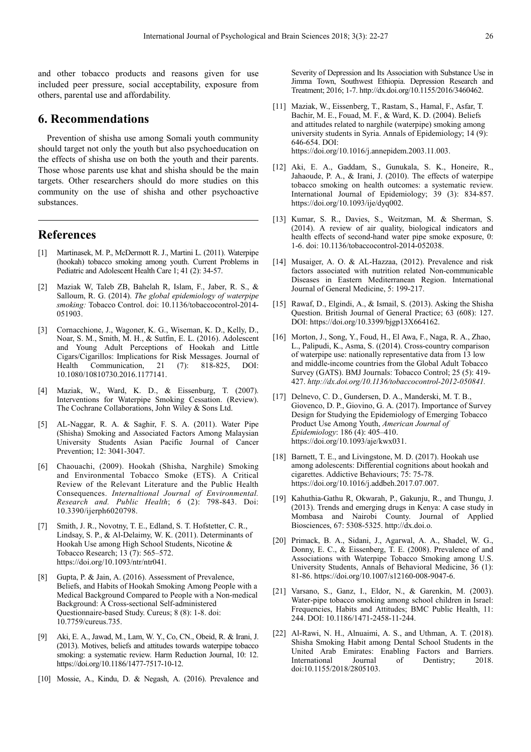and other tobacco products and reasons given for use included peer pressure, social acceptability, exposure from others, parental use and affordability.

### **6. Recommendations**

Prevention of shisha use among Somali youth community should target not only the youth but also psychoeducation on the effects of shisha use on both the youth and their parents. Those whose parents use khat and shisha should be the main targets. Other researchers should do more studies on this community on the use of shisha and other psychoactive substances.

### **References**

- [1] Martinasek, M. P., McDermott R. J., Martini L. (2011). Waterpipe (hookah) tobacco smoking among youth. Current Problems in Pediatric and Adolescent Health Care 1; 41 (2): 34-57.
- [2] Maziak W, Taleb ZB, Bahelah R, Islam, F., Jaber, R. S., & Salloum, R. G. (2014). *The global epidemiology of waterpipe smoking:* Tobacco Control. doi: 10.1136/tobaccocontrol-2014- 051903.
- [3] Cornacchione, J., Wagoner, K. G., Wiseman, K. D., Kelly, D., Noar, S. M., Smith, M. H., & Sutfin, E. L. (2016). Adolescent and Young Adult Perceptions of Hookah and Little Cigars/Cigarillos: Implications for Risk Messages. Journal of Health Communication, 21 (7): 818-825, DOI: Communication, 21 (7): 818-825, DOI: 10.1080/10810730.2016.1177141.
- [4] Maziak, W., Ward, K. D., & Eissenburg, T. (2007). Interventions for Waterpipe Smoking Cessation. (Review). The Cochrane Collaborations, John Wiley & Sons Ltd.
- [5] AL-Naggar, R. A. & Saghir, F. S. A. (2011). Water Pipe (Shisha) Smoking and Associated Factors Among Malaysian University Students Asian Pacific Journal of Cancer Prevention; 12: 3041-3047.
- [6] Chaouachi, (2009). Hookah (Shisha, Narghile) Smoking and Environmental Tobacco Smoke (ETS). A Critical Review of the Relevant Literature and the Public Health Consequences. *Internaltional Journal of Environmental. Research and. Public Health*; *6* (2): 798-843. Doi: 10.3390/ijerph6020798.
- [7] Smith, J. R., Novotny, T. E., Edland, S. T. Hofstetter, C. R., Lindsay, S. P., & Al-Delaimy, W. K. (2011). Determinants of Hookah Use among High School Students, Nicotine & Tobacco Research; 13 (7): 565–572. https://doi.org/10.1093/ntr/ntr041.
- [8] Gupta, P. & Jain, A. (2016). Assessment of Prevalence, Beliefs, and Habits of Hookah Smoking Among People with a Medical Background Compared to People with a Non-medical Background: A Cross-sectional Self-administered Questionnaire-based Study. Cureus; 8 (8): 1-8. doi: 10.7759/cureus.735.
- [9] Aki, E. A., Jawad, M., Lam, W. Y., Co, CN., Obeid, R. & Irani, J. (2013). Motives, beliefs and attitudes towards waterpipe tobacco smoking: a systematic review. Harm Reduction Journal, 10: 12. https://doi.org/10.1186/1477-7517-10-12.
- [10] Mossie, A., Kindu, D. & Negash, A. (2016). Prevalence and

Severity of Depression and Its Association with Substance Use in Jimma Town, Southwest Ethiopia. Depression Research and Treatment; 2016; 1-7. http://dx.doi.org/10.1155/2016/3460462.

- [11] Maziak, W., Eissenberg, T., Rastam, S., Hamal, F., Asfar, T. Bachir, M. E., Fouad, M. F., & Ward, K. D. (2004). Beliefs and attitudes related to narghile (waterpipe) smoking among university students in Syria. Annals of Epidemiology; 14 (9): 646-654. DOI: https://doi.org/10.1016/j.annepidem.2003.11.003.
- [12] Aki, E. A., Gaddam, S., Gunukala, S. K., Honeire, R., Jahaoude, P. A., & Irani, J. (2010). The effects of waterpipe tobacco smoking on health outcomes: a systematic review. International Journal of Epidemiology; 39 (3): 834-857. https://doi.org/10.1093/ije/dyq002.
- [13] Kumar, S. R., Davies, S., Weitzman, M. & Sherman, S. (2014). A review of air quality, biological indicators and health effects of second-hand water pipe smoke exposure, 0: 1-6. doi: 10.1136/tobaccocontrol-2014-052038.
- [14] Musaiger, A. O. & AL-Hazzaa, (2012). Prevalence and risk factors associated with nutrition related Non-communicable Diseases in Eastern Mediterranean Region. International Journal of General Medicine, 5: 199-217.
- [15] Rawaf, D., Elgindi, A., & Ismail, S. (2013). Asking the Shisha Question. British Journal of General Practice; 63 (608): 127. DOI: https://doi.org/10.3399/bjgp13X664162.
- [16] Morton, J., Song, Y., Foud, H., El Awa, F., Naga, R. A., Zhao, L., Palipudi, K., Asma, S. ((2014). Cross-country comparison of waterpipe use: nationally representative data from 13 low and middle-income countries from the Global Adult Tobacco Survey (GATS). BMJ Journals: Tobacco Control; 25 (5): 419- 427. *http://dx.doi.org/10.1136/tobaccocontrol-2012-050841.*
- [17] Delnevo, C. D., Gundersen, D. A., Manderski, M. T. B., Giovenco, D. P., Giovino, G. A. (2017). Importance of Survey Design for Studying the Epidemiology of Emerging Tobacco Product Use Among Youth, *American Journal of Epidemiology*: 186 (4): 405–410. https://doi.org/10.1093/aje/kwx031.
- [18] Barnett, T. E., and Livingstone, M. D. (2017). Hookah use among adolescents: Differential cognitions about hookah and cigarettes. Addictive Behaviours; 75: 75-78. https://doi.org/10.1016/j.addbeh.2017.07.007.
- [19] Kahuthia-Gathu R, Okwarah, P., Gakunju, R., and Thungu, J. (2013). Trends and emerging drugs in Kenya: A case study in Mombasa and Nairobi County. Journal of Applied Biosciences, 67: 5308-5325. http://dx.doi.o.
- [20] Primack, B. A., Sidani, J., Agarwal, A. A., Shadel, W. G., Donny, E. C., & Eissenberg, T. E. (2008). Prevalence of and Associations with Waterpipe Tobacco Smoking among U.S. University Students, Annals of Behavioral Medicine, 36 (1): 81-86. https://doi.org/10.1007/s12160-008-9047-6.
- [21] Varsano, S., Ganz, I., Eldor, N., & Garenkin, M. (2003). Water-pipe tobacco smoking among school children in Israel: Frequencies, Habits and Attitudes; BMC Public Health, 11: 244. DOI: 10.1186/1471-2458-11-244.
- [22] Al-Rawi, N. H., Alnuaimi, A. S., and Uthman, A. T. (2018). Shisha Smoking Habit among Dental School Students in the United Arab Emirates: Enabling Factors and Barriers. International Journal of Dentistry; 2018. doi:10.1155/2018/2805103.